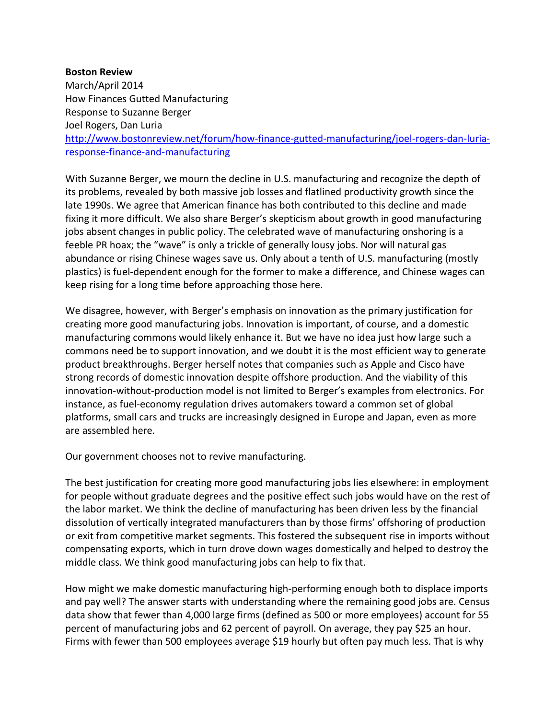## **Boston Review**

March/April 2014 How Finances Gutted Manufacturing Response to Suzanne Berger Joel Rogers, Dan Luria [http://www.bostonreview.net/forum/how-finance-gutted-manufacturing/joel-rogers-dan-luria](http://www.bostonreview.net/forum/how-finance-gutted-manufacturing/joel-rogers-dan-luria-response-finance-and-manufacturing)[response-finance-and-manufacturing](http://www.bostonreview.net/forum/how-finance-gutted-manufacturing/joel-rogers-dan-luria-response-finance-and-manufacturing)

With Suzanne Berger, we mourn the decline in U.S. manufacturing and recognize the depth of its problems, revealed by both massive job losses and flatlined productivity growth since the late 1990s. We agree that American finance has both contributed to this decline and made fixing it more difficult. We also share Berger's skepticism about growth in good manufacturing jobs absent changes in public policy. The celebrated wave of manufacturing onshoring is a feeble PR hoax; the "wave" is only a trickle of generally lousy jobs. Nor will natural gas abundance or rising Chinese wages save us. Only about a tenth of U.S. manufacturing (mostly plastics) is fuel-dependent enough for the former to make a difference, and Chinese wages can keep rising for a long time before approaching those here.

We disagree, however, with Berger's emphasis on innovation as the primary justification for creating more good manufacturing jobs. Innovation is important, of course, and a domestic manufacturing commons would likely enhance it. But we have no idea just how large such a commons need be to support innovation, and we doubt it is the most efficient way to generate product breakthroughs. Berger herself notes that companies such as Apple and Cisco have strong records of domestic innovation despite offshore production. And the viability of this innovation-without-production model is not limited to Berger's examples from electronics. For instance, as fuel-economy regulation drives automakers toward a common set of global platforms, small cars and trucks are increasingly designed in Europe and Japan, even as more are assembled here.

Our government chooses not to revive manufacturing.

The best justification for creating more good manufacturing jobs lies elsewhere: in employment for people without graduate degrees and the positive effect such jobs would have on the rest of the labor market. We think the decline of manufacturing has been driven less by the financial dissolution of vertically integrated manufacturers than by those firms' offshoring of production or exit from competitive market segments. This fostered the subsequent rise in imports without compensating exports, which in turn drove down wages domestically and helped to destroy the middle class. We think good manufacturing jobs can help to fix that.

How might we make domestic manufacturing high-performing enough both to displace imports and pay well? The answer starts with understanding where the remaining good jobs are. Census data show that fewer than 4,000 large firms (defined as 500 or more employees) account for 55 percent of manufacturing jobs and 62 percent of payroll. On average, they pay \$25 an hour. Firms with fewer than 500 employees average \$19 hourly but often pay much less. That is why